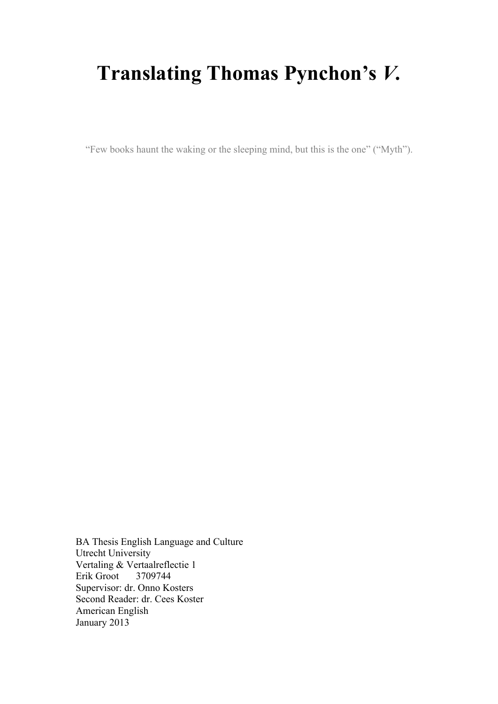# **Translating Thomas Pynchon's** *V.*

"Few books haunt the waking or the sleeping mind, but this is the one" ("Myth").

BA Thesis English Language and Culture Utrecht University Vertaling & Vertaalreflectie 1<br>Erik Groot 3709744 Erik Groot Supervisor: dr. Onno Kosters Second Reader: dr. Cees Koster American English January 2013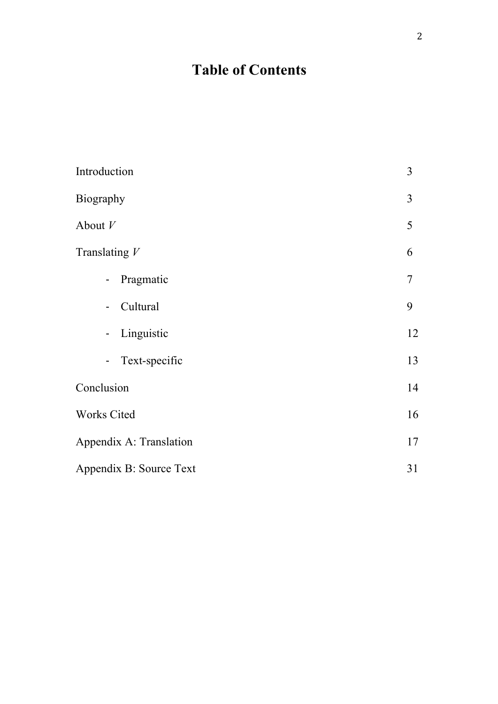## **Table of Contents**

| Introduction                                  | 3  |
|-----------------------------------------------|----|
| Biography                                     | 3  |
| About $V$                                     | 5  |
| Translating $V$                               | 6  |
| Pragmatic<br>$\qquad \qquad \blacksquare$     | 7  |
| Cultural                                      | 9  |
| Linguistic<br>$\blacksquare$                  | 12 |
| Text-specific<br>$\qquad \qquad \blacksquare$ | 13 |
| Conclusion                                    | 14 |
| Works Cited                                   | 16 |
| Appendix A: Translation                       | 17 |
| Appendix B: Source Text                       | 31 |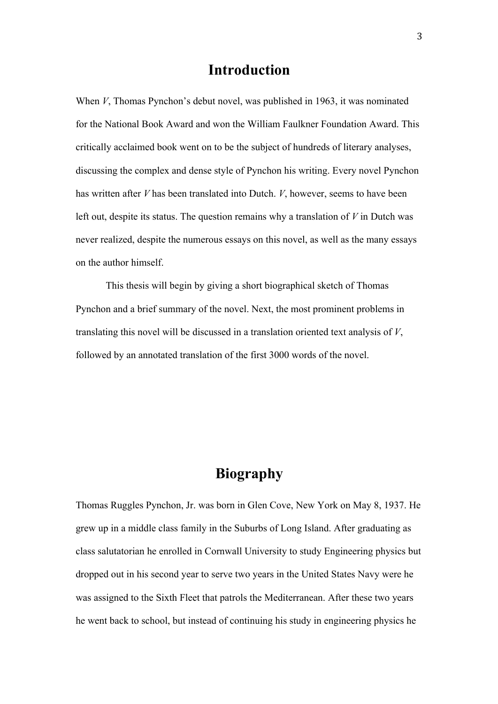#### **Introduction**

When *V*, Thomas Pynchon's debut novel, was published in 1963, it was nominated for the National Book Award and won the William Faulkner Foundation Award. This critically acclaimed book went on to be the subject of hundreds of literary analyses, discussing the complex and dense style of Pynchon his writing. Every novel Pynchon has written after *V* has been translated into Dutch. *V*, however, seems to have been left out, despite its status. The question remains why a translation of *V* in Dutch was never realized, despite the numerous essays on this novel, as well as the many essays on the author himself.

This thesis will begin by giving a short biographical sketch of Thomas Pynchon and a brief summary of the novel. Next, the most prominent problems in translating this novel will be discussed in a translation oriented text analysis of *V*, followed by an annotated translation of the first 3000 words of the novel.

## **Biography**

Thomas Ruggles Pynchon, Jr. was born in Glen Cove, New York on May 8, 1937. He grew up in a middle class family in the Suburbs of Long Island. After graduating as class salutatorian he enrolled in Cornwall University to study Engineering physics but dropped out in his second year to serve two years in the United States Navy were he was assigned to the Sixth Fleet that patrols the Mediterranean. After these two years he went back to school, but instead of continuing his study in engineering physics he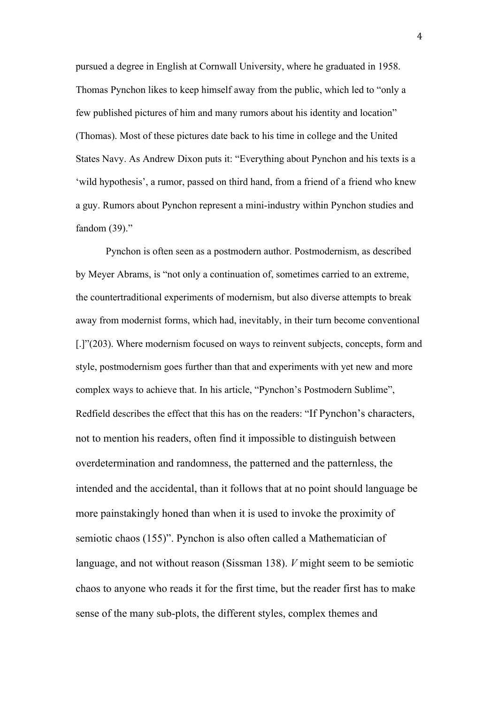pursued a degree in English at Cornwall University, where he graduated in 1958. Thomas Pynchon likes to keep himself away from the public, which led to "only a few published pictures of him and many rumors about his identity and location" (Thomas). Most of these pictures date back to his time in college and the United States Navy. As Andrew Dixon puts it: "Everything about Pynchon and his texts is a 'wild hypothesis', a rumor, passed on third hand, from a friend of a friend who knew a guy. Rumors about Pynchon represent a mini-industry within Pynchon studies and fandom (39)."

Pynchon is often seen as a postmodern author. Postmodernism, as described by Meyer Abrams, is "not only a continuation of, sometimes carried to an extreme, the countertraditional experiments of modernism, but also diverse attempts to break away from modernist forms, which had, inevitably, in their turn become conventional [.]"(203). Where modernism focused on ways to reinvent subjects, concepts, form and style, postmodernism goes further than that and experiments with yet new and more complex ways to achieve that. In his article, "Pynchon's Postmodern Sublime", Redfield describes the effect that this has on the readers: "If Pynchon's characters, not to mention his readers, often find it impossible to distinguish between overdetermination and randomness, the patterned and the patternless, the intended and the accidental, than it follows that at no point should language be more painstakingly honed than when it is used to invoke the proximity of semiotic chaos (155)". Pynchon is also often called a Mathematician of language, and not without reason (Sissman 138). *V* might seem to be semiotic chaos to anyone who reads it for the first time, but the reader first has to make sense of the many sub-plots, the different styles, complex themes and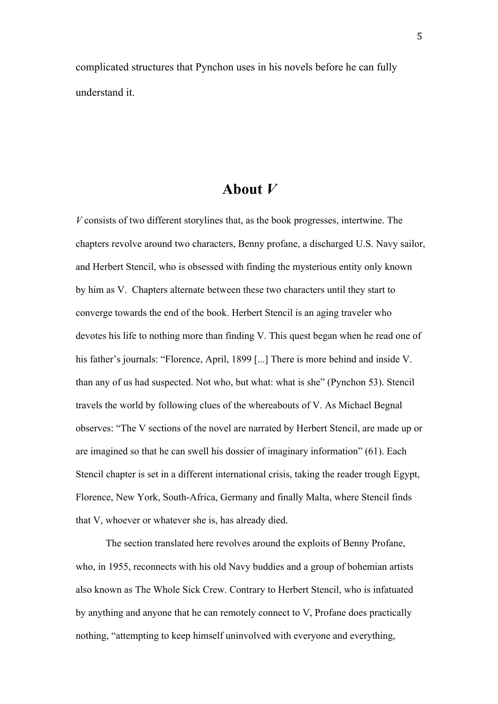complicated structures that Pynchon uses in his novels before he can fully understand it.

#### **About** *V*

*V* consists of two different storylines that, as the book progresses, intertwine. The chapters revolve around two characters, Benny profane, a discharged U.S. Navy sailor, and Herbert Stencil, who is obsessed with finding the mysterious entity only known by him as V. Chapters alternate between these two characters until they start to converge towards the end of the book. Herbert Stencil is an aging traveler who devotes his life to nothing more than finding V. This quest began when he read one of his father's journals: "Florence, April, 1899 [...] There is more behind and inside V. than any of us had suspected. Not who, but what: what is she" (Pynchon 53). Stencil travels the world by following clues of the whereabouts of V. As Michael Begnal observes: "The V sections of the novel are narrated by Herbert Stencil, are made up or are imagined so that he can swell his dossier of imaginary information" (61). Each Stencil chapter is set in a different international crisis, taking the reader trough Egypt, Florence, New York, South-Africa, Germany and finally Malta, where Stencil finds that V, whoever or whatever she is, has already died.

The section translated here revolves around the exploits of Benny Profane, who, in 1955, reconnects with his old Navy buddies and a group of bohemian artists also known as The Whole Sick Crew. Contrary to Herbert Stencil, who is infatuated by anything and anyone that he can remotely connect to V, Profane does practically nothing, "attempting to keep himself uninvolved with everyone and everything,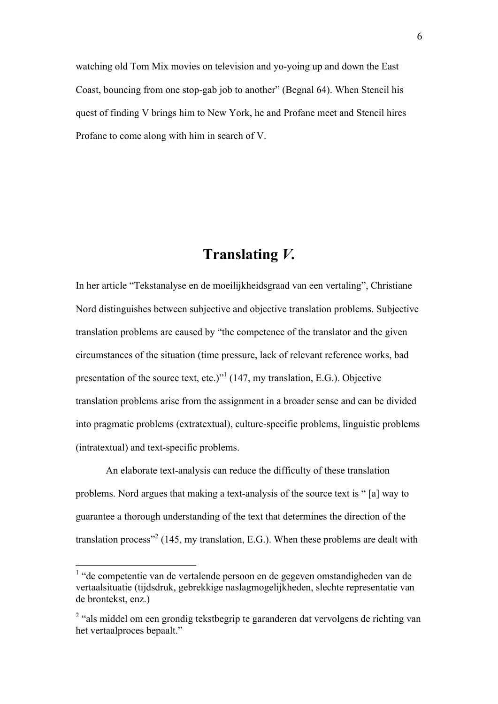watching old Tom Mix movies on television and yo-yoing up and down the East Coast, bouncing from one stop-gab job to another" (Begnal 64). When Stencil his quest of finding V brings him to New York, he and Profane meet and Stencil hires Profane to come along with him in search of V.

## **Translating** *V.*

In her article "Tekstanalyse en de moeilijkheidsgraad van een vertaling", Christiane Nord distinguishes between subjective and objective translation problems. Subjective translation problems are caused by "the competence of the translator and the given circumstances of the situation (time pressure, lack of relevant reference works, bad presentation of the source text, etc.)<sup> $n$ 1</sup> (147, my translation, E.G.). Objective translation problems arise from the assignment in a broader sense and can be divided into pragmatic problems (extratextual), culture-specific problems, linguistic problems (intratextual) and text-specific problems.

An elaborate text-analysis can reduce the difficulty of these translation problems. Nord argues that making a text-analysis of the source text is " [a] way to guarantee a thorough understanding of the text that determines the direction of the translation process"<sup>2</sup> (145, my translation, E.G.). When these problems are dealt with

<sup>&</sup>lt;sup>1</sup> "de competentie van de vertalende persoon en de gegeven omstandigheden van de vertaalsituatie (tijdsdruk, gebrekkige naslagmogelijkheden, slechte representatie van de brontekst, enz.)

<sup>&</sup>lt;sup>2</sup> "als middel om een grondig tekstbegrip te garanderen dat vervolgens de richting van het vertaalproces bepaalt."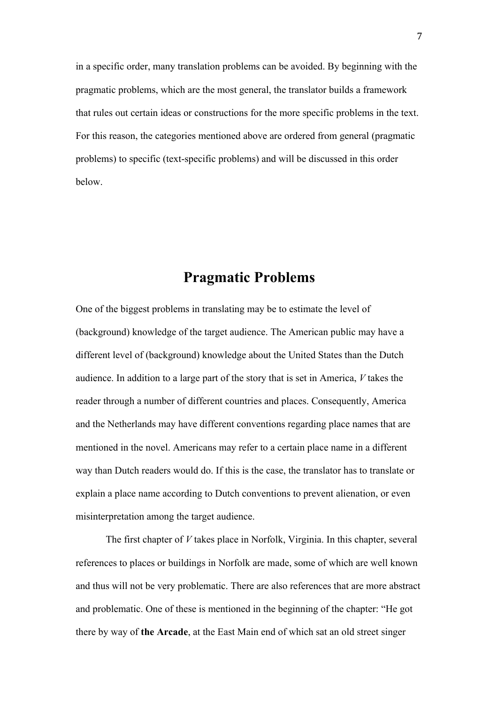in a specific order, many translation problems can be avoided. By beginning with the pragmatic problems, which are the most general, the translator builds a framework that rules out certain ideas or constructions for the more specific problems in the text. For this reason, the categories mentioned above are ordered from general (pragmatic problems) to specific (text-specific problems) and will be discussed in this order below.

#### **Pragmatic Problems**

One of the biggest problems in translating may be to estimate the level of (background) knowledge of the target audience. The American public may have a different level of (background) knowledge about the United States than the Dutch audience. In addition to a large part of the story that is set in America, *V* takes the reader through a number of different countries and places. Consequently, America and the Netherlands may have different conventions regarding place names that are mentioned in the novel. Americans may refer to a certain place name in a different way than Dutch readers would do. If this is the case, the translator has to translate or explain a place name according to Dutch conventions to prevent alienation, or even misinterpretation among the target audience.

The first chapter of *V* takes place in Norfolk, Virginia. In this chapter, several references to places or buildings in Norfolk are made, some of which are well known and thus will not be very problematic. There are also references that are more abstract and problematic. One of these is mentioned in the beginning of the chapter: "He got there by way of **the Arcade**, at the East Main end of which sat an old street singer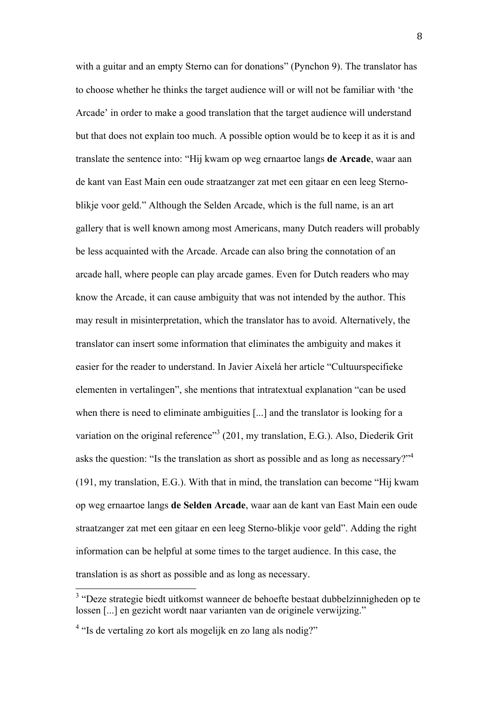with a guitar and an empty Sterno can for donations" (Pynchon 9). The translator has to choose whether he thinks the target audience will or will not be familiar with 'the Arcade' in order to make a good translation that the target audience will understand but that does not explain too much. A possible option would be to keep it as it is and translate the sentence into: "Hij kwam op weg ernaartoe langs **de Arcade**, waar aan de kant van East Main een oude straatzanger zat met een gitaar en een leeg Sternoblikje voor geld." Although the Selden Arcade, which is the full name, is an art gallery that is well known among most Americans, many Dutch readers will probably be less acquainted with the Arcade. Arcade can also bring the connotation of an arcade hall, where people can play arcade games. Even for Dutch readers who may know the Arcade, it can cause ambiguity that was not intended by the author. This may result in misinterpretation, which the translator has to avoid. Alternatively, the translator can insert some information that eliminates the ambiguity and makes it easier for the reader to understand. In Javier Aixelá her article "Cultuurspecifieke elementen in vertalingen", she mentions that intratextual explanation "can be used when there is need to eliminate ambiguities [...] and the translator is looking for a variation on the original reference"<sup>3</sup> (201, my translation, E.G.). Also, Diederik Grit asks the question: "Is the translation as short as possible and as long as necessary?"<sup>4</sup> (191, my translation, E.G.). With that in mind, the translation can become "Hij kwam op weg ernaartoe langs **de Selden Arcade**, waar aan de kant van East Main een oude straatzanger zat met een gitaar en een leeg Sterno-blikje voor geld". Adding the right information can be helpful at some times to the target audience. In this case, the translation is as short as possible and as long as necessary.

<sup>&</sup>lt;sup>3</sup> "Deze strategie biedt uitkomst wanneer de behoefte bestaat dubbelzinnigheden op te lossen [...] en gezicht wordt naar varianten van de originele verwijzing."

<sup>&</sup>lt;sup>4</sup> "Is de vertaling zo kort als mogelijk en zo lang als nodig?"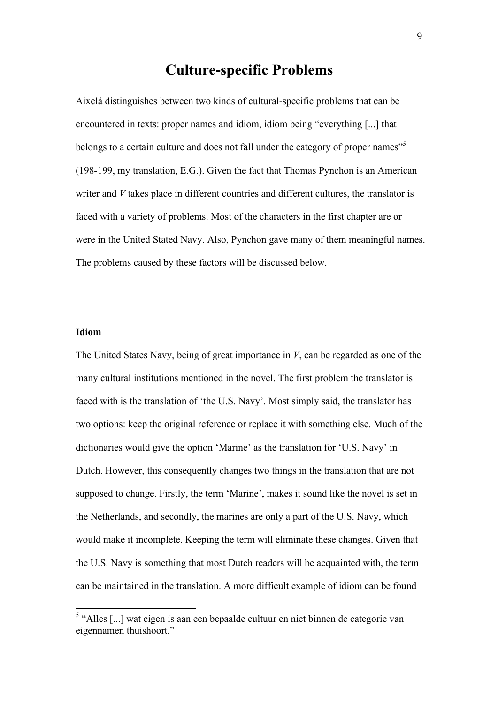#### **Culture-specific Problems**

Aixelá distinguishes between two kinds of cultural-specific problems that can be encountered in texts: proper names and idiom, idiom being "everything [...] that belongs to a certain culture and does not fall under the category of proper names"<sup>5</sup> (198-199, my translation, E.G.). Given the fact that Thomas Pynchon is an American writer and *V* takes place in different countries and different cultures, the translator is faced with a variety of problems. Most of the characters in the first chapter are or were in the United Stated Navy. Also, Pynchon gave many of them meaningful names. The problems caused by these factors will be discussed below.

#### **Idiom**

The United States Navy, being of great importance in *V*, can be regarded as one of the many cultural institutions mentioned in the novel. The first problem the translator is faced with is the translation of 'the U.S. Navy'. Most simply said, the translator has two options: keep the original reference or replace it with something else. Much of the dictionaries would give the option 'Marine' as the translation for 'U.S. Navy' in Dutch. However, this consequently changes two things in the translation that are not supposed to change. Firstly, the term 'Marine', makes it sound like the novel is set in the Netherlands, and secondly, the marines are only a part of the U.S. Navy, which would make it incomplete. Keeping the term will eliminate these changes. Given that the U.S. Navy is something that most Dutch readers will be acquainted with, the term can be maintained in the translation. A more difficult example of idiom can be found

 <sup>5</sup> "Alles [...] wat eigen is aan een bepaalde cultuur en niet binnen de categorie van eigennamen thuishoort."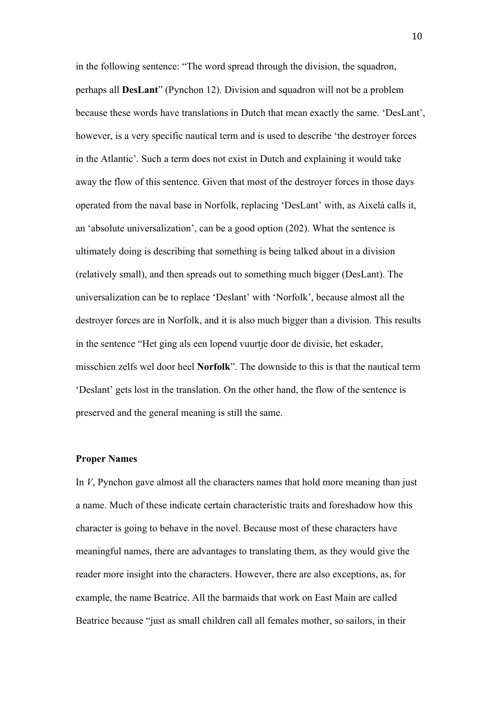in the following sentence: "The word spread through the division, the squadron, perhaps all **DesLant**" (Pynchon 12). Division and squadron will not be a problem because these words have translations in Dutch that mean exactly the same. 'DesLant', however, is a very specific nautical term and is used to describe 'the destroyer forces in the Atlantic'. Such a term does not exist in Dutch and explaining it would take away the flow of this sentence. Given that most of the destroyer forces in those days operated from the naval base in Norfolk, replacing 'DesLant' with, as Aixelá calls it, an 'absolute universalization', can be a good option (202). What the sentence is ultimately doing is describing that something is being talked about in a division (relatively small), and then spreads out to something much bigger (DesLant). The universalization can be to replace 'Deslant' with 'Norfolk', because almost all the destroyer forces are in Norfolk, and it is also much bigger than a division. This results in the sentence "Het ging als een lopend vuurtje door de divisie, het eskader, misschien zelfs wel door heel **Norfolk**". The downside to this is that the nautical term 'Deslant' gets lost in the translation. On the other hand, the flow of the sentence is preserved and the general meaning is still the same.

#### **Proper Names**

In *V*, Pynchon gave almost all the characters names that hold more meaning than just a name. Much of these indicate certain characteristic traits and foreshadow how this character is going to behave in the novel. Because most of these characters have meaningful names, there are advantages to translating them, as they would give the reader more insight into the characters. However, there are also exceptions, as, for example, the name Beatrice. All the barmaids that work on East Main are called Beatrice because "just as small children call all females mother, so sailors, in their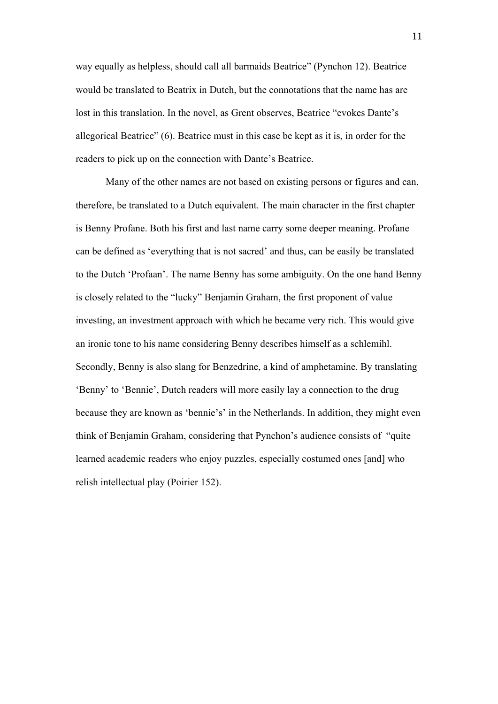way equally as helpless, should call all barmaids Beatrice" (Pynchon 12). Beatrice would be translated to Beatrix in Dutch, but the connotations that the name has are lost in this translation. In the novel, as Grent observes, Beatrice "evokes Dante's allegorical Beatrice" (6). Beatrice must in this case be kept as it is, in order for the readers to pick up on the connection with Dante's Beatrice.

Many of the other names are not based on existing persons or figures and can, therefore, be translated to a Dutch equivalent. The main character in the first chapter is Benny Profane. Both his first and last name carry some deeper meaning. Profane can be defined as 'everything that is not sacred' and thus, can be easily be translated to the Dutch 'Profaan'. The name Benny has some ambiguity. On the one hand Benny is closely related to the "lucky" Benjamin Graham, the first proponent of value investing, an investment approach with which he became very rich. This would give an ironic tone to his name considering Benny describes himself as a schlemihl. Secondly, Benny is also slang for Benzedrine, a kind of amphetamine. By translating 'Benny' to 'Bennie', Dutch readers will more easily lay a connection to the drug because they are known as 'bennie's' in the Netherlands. In addition, they might even think of Benjamin Graham, considering that Pynchon's audience consists of "quite learned academic readers who enjoy puzzles, especially costumed ones [and] who relish intellectual play (Poirier 152).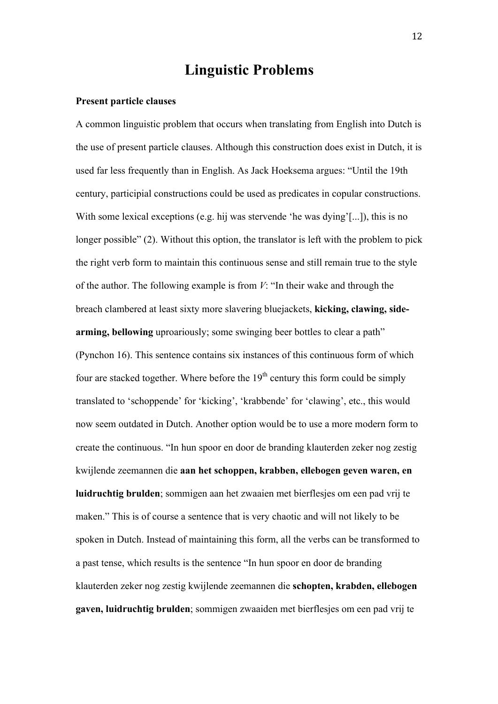#### **Linguistic Problems**

#### **Present particle clauses**

A common linguistic problem that occurs when translating from English into Dutch is the use of present particle clauses. Although this construction does exist in Dutch, it is used far less frequently than in English. As Jack Hoeksema argues: "Until the 19th century, participial constructions could be used as predicates in copular constructions. With some lexical exceptions (e.g. hij was stervende 'he was dying'[...]), this is no longer possible" (2). Without this option, the translator is left with the problem to pick the right verb form to maintain this continuous sense and still remain true to the style of the author. The following example is from *V*: "In their wake and through the breach clambered at least sixty more slavering bluejackets, **kicking, clawing, sidearming, bellowing** uproariously; some swinging beer bottles to clear a path" (Pynchon 16). This sentence contains six instances of this continuous form of which four are stacked together. Where before the  $19<sup>th</sup>$  century this form could be simply translated to 'schoppende' for 'kicking', 'krabbende' for 'clawing', etc., this would now seem outdated in Dutch. Another option would be to use a more modern form to create the continuous. "In hun spoor en door de branding klauterden zeker nog zestig kwijlende zeemannen die **aan het schoppen, krabben, ellebogen geven waren, en luidruchtig brulden**; sommigen aan het zwaaien met bierflesjes om een pad vrij te maken." This is of course a sentence that is very chaotic and will not likely to be spoken in Dutch. Instead of maintaining this form, all the verbs can be transformed to a past tense, which results is the sentence "In hun spoor en door de branding klauterden zeker nog zestig kwijlende zeemannen die **schopten, krabden, ellebogen gaven, luidruchtig brulden**; sommigen zwaaiden met bierflesjes om een pad vrij te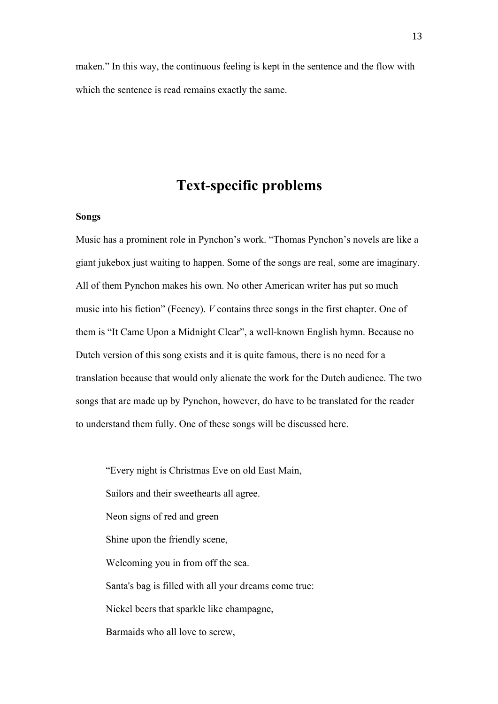maken." In this way, the continuous feeling is kept in the sentence and the flow with which the sentence is read remains exactly the same.

## **Text-specific problems**

#### **Songs**

Music has a prominent role in Pynchon's work. "Thomas Pynchon's novels are like a giant jukebox just waiting to happen. Some of the songs are real, some are imaginary. All of them Pynchon makes his own. No other American writer has put so much music into his fiction" (Feeney). *V* contains three songs in the first chapter. One of them is "It Came Upon a Midnight Clear", a well-known English hymn. Because no Dutch version of this song exists and it is quite famous, there is no need for a translation because that would only alienate the work for the Dutch audience. The two songs that are made up by Pynchon, however, do have to be translated for the reader to understand them fully. One of these songs will be discussed here.

"Every night is Christmas Eve on old East Main, Sailors and their sweethearts all agree. Neon signs of red and green Shine upon the friendly scene, Welcoming you in from off the sea. Santa's bag is filled with all your dreams come true: Nickel beers that sparkle like champagne, Barmaids who all love to screw,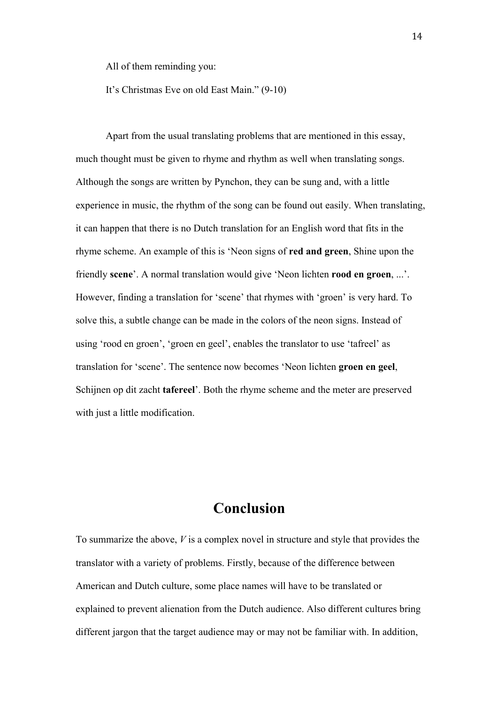All of them reminding you:

It's Christmas Eve on old East Main." (9-10)

Apart from the usual translating problems that are mentioned in this essay, much thought must be given to rhyme and rhythm as well when translating songs. Although the songs are written by Pynchon, they can be sung and, with a little experience in music, the rhythm of the song can be found out easily. When translating, it can happen that there is no Dutch translation for an English word that fits in the rhyme scheme. An example of this is 'Neon signs of **red and green**, Shine upon the friendly **scene**'. A normal translation would give 'Neon lichten **rood en groen**, ...'. However, finding a translation for 'scene' that rhymes with 'groen' is very hard. To solve this, a subtle change can be made in the colors of the neon signs. Instead of using 'rood en groen', 'groen en geel', enables the translator to use 'tafreel' as translation for 'scene'. The sentence now becomes 'Neon lichten **groen en geel**, Schijnen op dit zacht **tafereel**'. Both the rhyme scheme and the meter are preserved with just a little modification.

## **Conclusion**

To summarize the above, *V* is a complex novel in structure and style that provides the translator with a variety of problems. Firstly, because of the difference between American and Dutch culture, some place names will have to be translated or explained to prevent alienation from the Dutch audience. Also different cultures bring different jargon that the target audience may or may not be familiar with. In addition,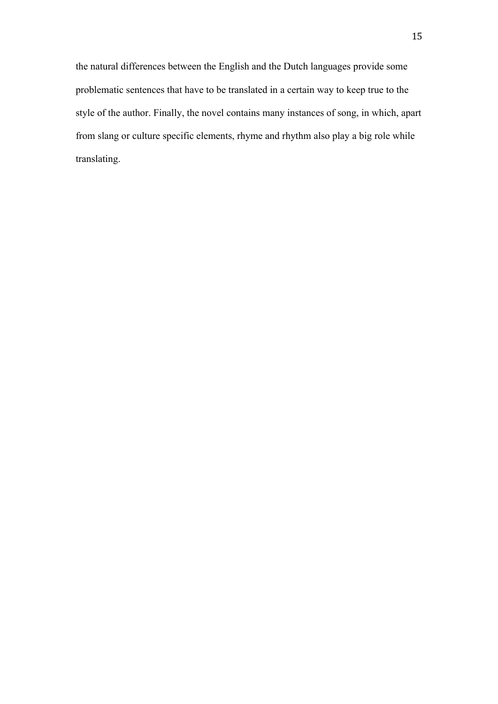the natural differences between the English and the Dutch languages provide some problematic sentences that have to be translated in a certain way to keep true to the style of the author. Finally, the novel contains many instances of song, in which, apart from slang or culture specific elements, rhyme and rhythm also play a big role while translating.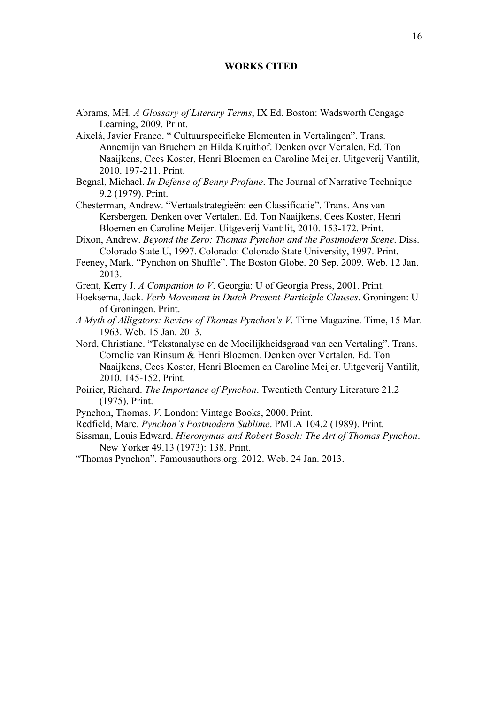#### **WORKS CITED**

- Abrams, MH. *A Glossary of Literary Terms*, IX Ed. Boston: Wadsworth Cengage Learning, 2009. Print.
- Aixelá, Javier Franco. " Cultuurspecifieke Elementen in Vertalingen". Trans. Annemijn van Bruchem en Hilda Kruithof. Denken over Vertalen. Ed. Ton Naaijkens, Cees Koster, Henri Bloemen en Caroline Meijer. Uitgeverij Vantilit, 2010. 197-211. Print.
- Begnal, Michael. *In Defense of Benny Profane*. The Journal of Narrative Technique 9.2 (1979). Print.
- Chesterman, Andrew. "Vertaalstrategieën: een Classificatie". Trans. Ans van Kersbergen. Denken over Vertalen. Ed. Ton Naaijkens, Cees Koster, Henri Bloemen en Caroline Meijer. Uitgeverij Vantilit, 2010. 153-172. Print.
- Dixon, Andrew. *Beyond the Zero: Thomas Pynchon and the Postmodern Scene*. Diss. Colorado State U, 1997. Colorado: Colorado State University, 1997. Print.
- Feeney, Mark. "Pynchon on Shuffle". The Boston Globe. 20 Sep. 2009. Web. 12 Jan. 2013.
- Grent, Kerry J. *A Companion to V*. Georgia: U of Georgia Press, 2001. Print.
- Hoeksema, Jack. *Verb Movement in Dutch Present-Participle Clauses*. Groningen: U of Groningen. Print.
- *A Myth of Alligators: Review of Thomas Pynchon's V.* Time Magazine. Time, 15 Mar. 1963. Web. 15 Jan. 2013.
- Nord, Christiane. "Tekstanalyse en de Moeilijkheidsgraad van een Vertaling". Trans. Cornelie van Rinsum & Henri Bloemen. Denken over Vertalen. Ed. Ton Naaijkens, Cees Koster, Henri Bloemen en Caroline Meijer. Uitgeverij Vantilit, 2010. 145-152. Print.
- Poirier, Richard. *The Importance of Pynchon*. Twentieth Century Literature 21.2 (1975). Print.
- Pynchon, Thomas. *V*. London: Vintage Books, 2000. Print.
- Redfield, Marc. *Pynchon's Postmodern Sublime*. PMLA 104.2 (1989). Print.
- Sissman, Louis Edward. *Hieronymus and Robert Bosch: The Art of Thomas Pynchon*. New Yorker 49.13 (1973): 138. Print.
- "Thomas Pynchon". Famousauthors.org. 2012. Web. 24 Jan. 2013.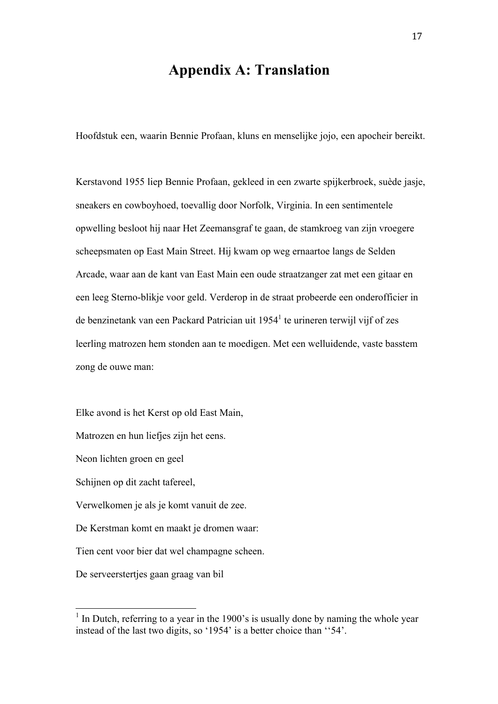## **Appendix A: Translation**

Hoofdstuk een, waarin Bennie Profaan, kluns en menselijke jojo, een apocheir bereikt.

Kerstavond 1955 liep Bennie Profaan, gekleed in een zwarte spijkerbroek, suède jasje, sneakers en cowboyhoed, toevallig door Norfolk, Virginia. In een sentimentele opwelling besloot hij naar Het Zeemansgraf te gaan, de stamkroeg van zijn vroegere scheepsmaten op East Main Street. Hij kwam op weg ernaartoe langs de Selden Arcade, waar aan de kant van East Main een oude straatzanger zat met een gitaar en een leeg Sterno-blikje voor geld. Verderop in de straat probeerde een onderofficier in de benzinetank van een Packard Patrician uit 19541 te urineren terwijl vijf of zes leerling matrozen hem stonden aan te moedigen. Met een welluidende, vaste basstem zong de ouwe man:

Elke avond is het Kerst op old East Main,

Matrozen en hun liefjes zijn het eens.

Neon lichten groen en geel

Schijnen op dit zacht tafereel,

Verwelkomen je als je komt vanuit de zee.

De Kerstman komt en maakt je dromen waar:

Tien cent voor bier dat wel champagne scheen.

De serveerstertjes gaan graag van bil

In Dutch, referring to a year in the 1900's is usually done by naming the whole year instead of the last two digits, so '1954' is a better choice than ''54'.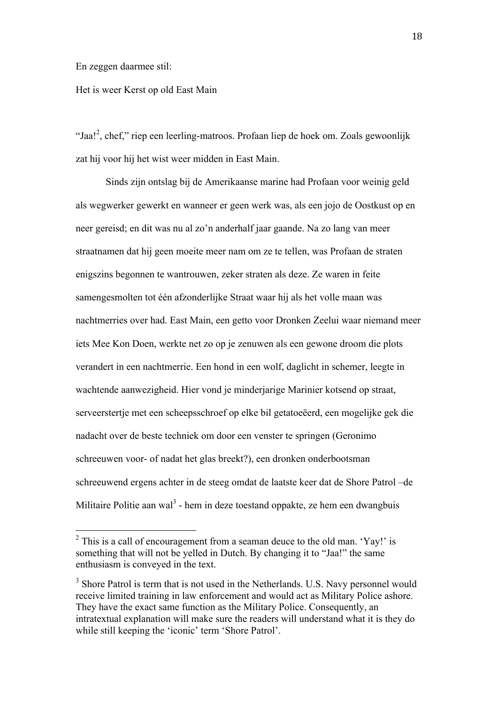En zeggen daarmee stil:

#### Het is weer Kerst op old East Main

"Jaa!<sup>2</sup>, chef," riep een leerling-matroos. Profaan liep de hoek om. Zoals gewoonlijk zat hij voor hij het wist weer midden in East Main.

Sinds zijn ontslag bij de Amerikaanse marine had Profaan voor weinig geld als wegwerker gewerkt en wanneer er geen werk was, als een jojo de Oostkust op en neer gereisd; en dit was nu al zo'n anderhalf jaar gaande. Na zo lang van meer straatnamen dat hij geen moeite meer nam om ze te tellen, was Profaan de straten enigszins begonnen te wantrouwen, zeker straten als deze. Ze waren in feite samengesmolten tot één afzonderlijke Straat waar hij als het volle maan was nachtmerries over had. East Main, een getto voor Dronken Zeelui waar niemand meer iets Mee Kon Doen, werkte net zo op je zenuwen als een gewone droom die plots verandert in een nachtmerrie. Een hond in een wolf, daglicht in schemer, leegte in wachtende aanwezigheid. Hier vond je minderjarige Marinier kotsend op straat, serveerstertje met een scheepsschroef op elke bil getatoeëerd, een mogelijke gek die nadacht over de beste techniek om door een venster te springen (Geronimo schreeuwen voor- of nadat het glas breekt?), een dronken onderbootsman schreeuwend ergens achter in de steeg omdat de laatste keer dat de Shore Patrol –de Militaire Politie aan wal<sup>3</sup> - hem in deze toestand oppakte, ze hem een dwangbuis

 $2$  This is a call of encouragement from a seaman deuce to the old man. 'Yay!' is something that will not be yelled in Dutch. By changing it to "Jaa!" the same enthusiasm is conveyed in the text.

<sup>&</sup>lt;sup>3</sup> Shore Patrol is term that is not used in the Netherlands. U.S. Navy personnel would receive limited training in law enforcement and would act as Military Police ashore. They have the exact same function as the Military Police. Consequently, an intratextual explanation will make sure the readers will understand what it is they do while still keeping the 'iconic' term 'Shore Patrol'.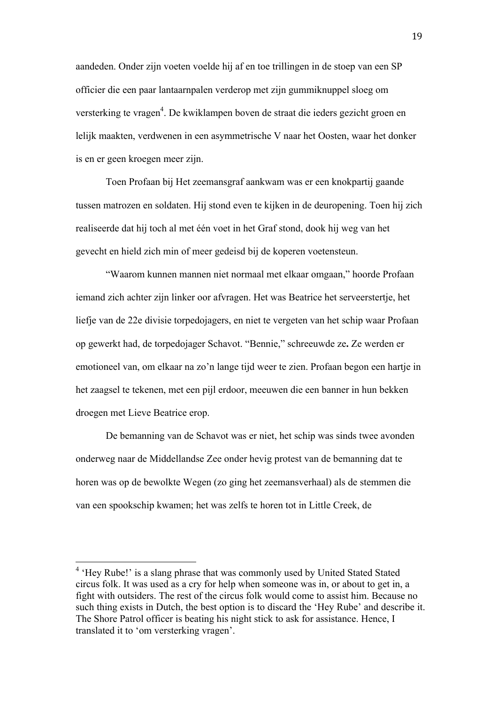aandeden. Onder zijn voeten voelde hij af en toe trillingen in de stoep van een SP officier die een paar lantaarnpalen verderop met zijn gummiknuppel sloeg om versterking te vragen<sup>4</sup>. De kwiklampen boven de straat die ieders gezicht groen en lelijk maakten, verdwenen in een asymmetrische V naar het Oosten, waar het donker is en er geen kroegen meer zijn.

Toen Profaan bij Het zeemansgraf aankwam was er een knokpartij gaande tussen matrozen en soldaten. Hij stond even te kijken in de deuropening. Toen hij zich realiseerde dat hij toch al met één voet in het Graf stond, dook hij weg van het gevecht en hield zich min of meer gedeisd bij de koperen voetensteun.

"Waarom kunnen mannen niet normaal met elkaar omgaan," hoorde Profaan iemand zich achter zijn linker oor afvragen. Het was Beatrice het serveerstertje, het liefje van de 22e divisie torpedojagers, en niet te vergeten van het schip waar Profaan op gewerkt had, de torpedojager Schavot. "Bennie," schreeuwde ze**.** Ze werden er emotioneel van, om elkaar na zo'n lange tijd weer te zien. Profaan begon een hartje in het zaagsel te tekenen, met een pijl erdoor, meeuwen die een banner in hun bekken droegen met Lieve Beatrice erop.

De bemanning van de Schavot was er niet, het schip was sinds twee avonden onderweg naar de Middellandse Zee onder hevig protest van de bemanning dat te horen was op de bewolkte Wegen (zo ging het zeemansverhaal) als de stemmen die van een spookschip kwamen; het was zelfs te horen tot in Little Creek, de

<sup>&</sup>lt;sup>4</sup> 'Hey Rube!' is a slang phrase that was commonly used by United Stated Stated circus folk. It was used as a cry for help when someone was in, or about to get in, a fight with outsiders. The rest of the circus folk would come to assist him. Because no such thing exists in Dutch, the best option is to discard the 'Hey Rube' and describe it. The Shore Patrol officer is beating his night stick to ask for assistance. Hence, I translated it to 'om versterking vragen'.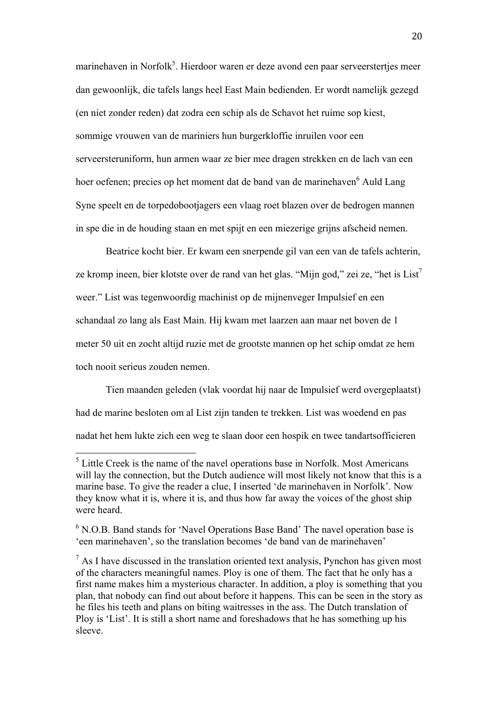marinehaven in Norfolk<sup>5</sup>. Hierdoor waren er deze avond een paar serveerstertjes meer dan gewoonlijk, die tafels langs heel East Main bedienden. Er wordt namelijk gezegd (en niet zonder reden) dat zodra een schip als de Schavot het ruime sop kiest, sommige vrouwen van de mariniers hun burgerkloffie inruilen voor een serveersteruniform, hun armen waar ze bier mee dragen strekken en de lach van een hoer oefenen; precies op het moment dat de band van de marinehaven<sup>6</sup> Auld Lang Syne speelt en de torpedobootjagers een vlaag roet blazen over de bedrogen mannen in spe die in de houding staan en met spijt en een miezerige grijns afscheid nemen.

Beatrice kocht bier. Er kwam een snerpende gil van een van de tafels achterin, ze kromp ineen, bier klotste over de rand van het glas. "Mijn god," zei ze, "het is  $List<sup>7</sup>$ weer." List was tegenwoordig machinist op de mijnenveger Impulsief en een schandaal zo lang als East Main. Hij kwam met laarzen aan maar net boven de 1 meter 50 uit en zocht altijd ruzie met de grootste mannen op het schip omdat ze hem toch nooit serieus zouden nemen.

Tien maanden geleden (vlak voordat hij naar de Impulsief werd overgeplaatst) had de marine besloten om al List zijn tanden te trekken. List was woedend en pas nadat het hem lukte zich een weg te slaan door een hospik en twee tandartsofficieren

 <sup>5</sup> Little Creek is the name of the navel operations base in Norfolk. Most Americans will lay the connection, but the Dutch audience will most likely not know that this is a marine base. To give the reader a clue, I inserted 'de marinehaven in Norfolk'. Now they know what it is, where it is, and thus how far away the voices of the ghost ship were heard.

 $6$  N.O.B. Band stands for 'Navel Operations Base Band' The navel operation base is 'een marinehaven', so the translation becomes 'de band van de marinehaven'

 $<sup>7</sup>$  As I have discussed in the translation oriented text analysis, Pynchon has given most</sup> of the characters meaningful names. Ploy is one of them. The fact that he only has a first name makes him a mysterious character. In addition, a ploy is something that you plan, that nobody can find out about before it happens. This can be seen in the story as he files his teeth and plans on biting waitresses in the ass. The Dutch translation of Ploy is 'List'. It is still a short name and foreshadows that he has something up his sleeve.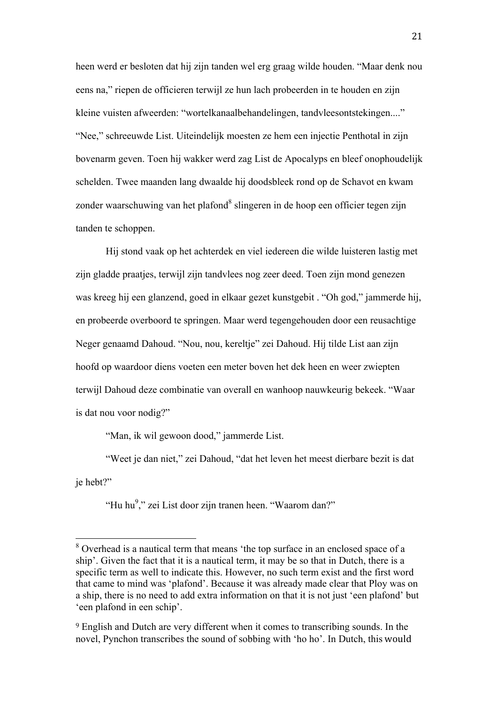heen werd er besloten dat hij zijn tanden wel erg graag wilde houden. "Maar denk nou eens na," riepen de officieren terwijl ze hun lach probeerden in te houden en zijn kleine vuisten afweerden: "wortelkanaalbehandelingen, tandvleesontstekingen...." "Nee," schreeuwde List. Uiteindelijk moesten ze hem een injectie Penthotal in zijn bovenarm geven. Toen hij wakker werd zag List de Apocalyps en bleef onophoudelijk schelden. Twee maanden lang dwaalde hij doodsbleek rond op de Schavot en kwam zonder waarschuwing van het plafond<sup>8</sup> slingeren in de hoop een officier tegen zijn tanden te schoppen.

Hij stond vaak op het achterdek en viel iedereen die wilde luisteren lastig met zijn gladde praatjes, terwijl zijn tandvlees nog zeer deed. Toen zijn mond genezen was kreeg hij een glanzend, goed in elkaar gezet kunstgebit . "Oh god," jammerde hij, en probeerde overboord te springen. Maar werd tegengehouden door een reusachtige Neger genaamd Dahoud. "Nou, nou, kereltje" zei Dahoud. Hij tilde List aan zijn hoofd op waardoor diens voeten een meter boven het dek heen en weer zwiepten terwijl Dahoud deze combinatie van overall en wanhoop nauwkeurig bekeek. "Waar is dat nou voor nodig?"

"Man, ik wil gewoon dood," jammerde List.

"Weet je dan niet," zei Dahoud, "dat het leven het meest dierbare bezit is dat je hebt?"

"Hu hu<sup>9</sup>," zei List door zijn tranen heen. "Waarom dan?"

 <sup>8</sup> Overhead is a nautical term that means 'the top surface in an enclosed space of a ship'. Given the fact that it is a nautical term, it may be so that in Dutch, there is a specific term as well to indicate this. However, no such term exist and the first word that came to mind was 'plafond'. Because it was already made clear that Ploy was on a ship, there is no need to add extra information on that it is not just 'een plafond' but 'een plafond in een schip'.

<sup>9</sup> English and Dutch are very different when it comes to transcribing sounds. In the novel, Pynchon transcribes the sound of sobbing with 'ho ho'. In Dutch, this would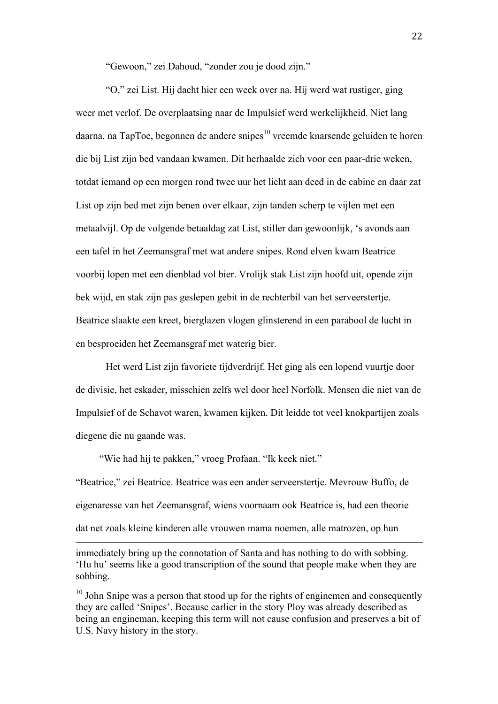"Gewoon," zei Dahoud, "zonder zou je dood zijn."

"O," zei List. Hij dacht hier een week over na. Hij werd wat rustiger, ging weer met verlof. De overplaatsing naar de Impulsief werd werkelijkheid. Niet lang  $daarna$ , na TapToe, begonnen de andere snipes $10$  vreemde knarsende geluiden te horen die bij List zijn bed vandaan kwamen. Dit herhaalde zich voor een paar-drie weken, totdat iemand op een morgen rond twee uur het licht aan deed in de cabine en daar zat List op zijn bed met zijn benen over elkaar, zijn tanden scherp te vijlen met een metaalvijl. Op de volgende betaaldag zat List, stiller dan gewoonlijk, 's avonds aan een tafel in het Zeemansgraf met wat andere snipes. Rond elven kwam Beatrice voorbij lopen met een dienblad vol bier. Vrolijk stak List zijn hoofd uit, opende zijn bek wijd, en stak zijn pas geslepen gebit in de rechterbil van het serveerstertje. Beatrice slaakte een kreet, bierglazen vlogen glinsterend in een parabool de lucht in en besproeiden het Zeemansgraf met waterig bier.

Het werd List zijn favoriete tijdverdrijf. Het ging als een lopend vuurtje door de divisie, het eskader, misschien zelfs wel door heel Norfolk. Mensen die niet van de Impulsief of de Schavot waren, kwamen kijken. Dit leidde tot veel knokpartijen zoals diegene die nu gaande was.

"Wie had hij te pakken," vroeg Profaan. "Ik keek niet."

"Beatrice," zei Beatrice. Beatrice was een ander serveerstertje. Mevrouw Buffo, de eigenaresse van het Zeemansgraf, wiens voornaam ook Beatrice is, had een theorie dat net zoals kleine kinderen alle vrouwen mama noemen, alle matrozen, op hun

<u> 1989 - Andrea San Andrew Maria (h. 1989).</u><br>1900 - Andrew Maria (h. 1980).

immediately bring up the connotation of Santa and has nothing to do with sobbing. 'Hu hu' seems like a good transcription of the sound that people make when they are sobbing.

 $10$  John Snipe was a person that stood up for the rights of enginemen and consequently they are called 'Snipes'. Because earlier in the story Ploy was already described as being an engineman, keeping this term will not cause confusion and preserves a bit of U.S. Navy history in the story.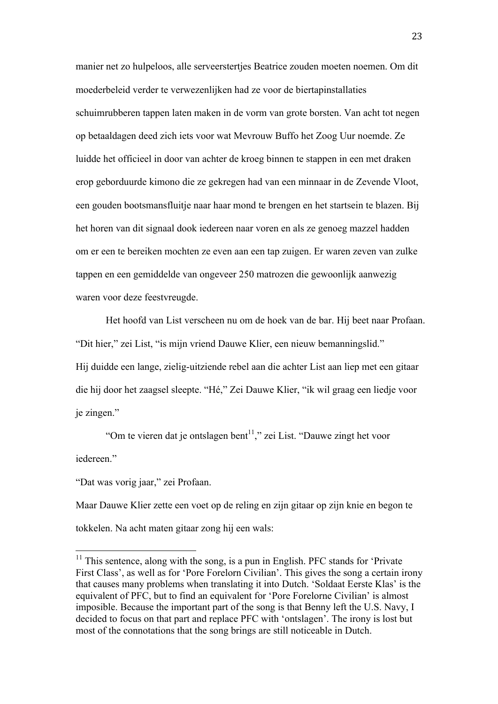manier net zo hulpeloos, alle serveerstertjes Beatrice zouden moeten noemen. Om dit moederbeleid verder te verwezenlijken had ze voor de biertapinstallaties schuimrubberen tappen laten maken in de vorm van grote borsten. Van acht tot negen op betaaldagen deed zich iets voor wat Mevrouw Buffo het Zoog Uur noemde. Ze luidde het officieel in door van achter de kroeg binnen te stappen in een met draken erop geborduurde kimono die ze gekregen had van een minnaar in de Zevende Vloot, een gouden bootsmansfluitje naar haar mond te brengen en het startsein te blazen. Bij het horen van dit signaal dook iedereen naar voren en als ze genoeg mazzel hadden om er een te bereiken mochten ze even aan een tap zuigen. Er waren zeven van zulke tappen en een gemiddelde van ongeveer 250 matrozen die gewoonlijk aanwezig waren voor deze feestvreugde.

Het hoofd van List verscheen nu om de hoek van de bar. Hij beet naar Profaan. "Dit hier," zei List, "is mijn vriend Dauwe Klier, een nieuw bemanningslid." Hij duidde een lange, zielig-uitziende rebel aan die achter List aan liep met een gitaar die hij door het zaagsel sleepte. "Hé," Zei Dauwe Klier, "ik wil graag een liedje voor je zingen."

"Om te vieren dat je ontslagen bent<sup>11</sup>," zei List. "Dauwe zingt het voor iedereen."

"Dat was vorig jaar," zei Profaan.

Maar Dauwe Klier zette een voet op de reling en zijn gitaar op zijn knie en begon te tokkelen. Na acht maten gitaar zong hij een wals:

 $11$  This sentence, along with the song, is a pun in English. PFC stands for 'Private First Class', as well as for 'Pore Forelorn Civilian'. This gives the song a certain irony that causes many problems when translating it into Dutch. 'Soldaat Eerste Klas' is the equivalent of PFC, but to find an equivalent for 'Pore Forelorne Civilian' is almost imposible. Because the important part of the song is that Benny left the U.S. Navy, I decided to focus on that part and replace PFC with 'ontslagen'. The irony is lost but most of the connotations that the song brings are still noticeable in Dutch.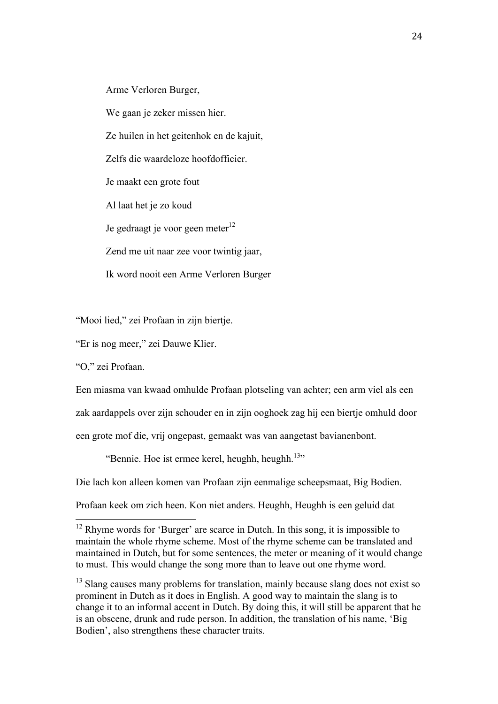Arme Verloren Burger, We gaan je zeker missen hier. Ze huilen in het geitenhok en de kajuit, Zelfs die waardeloze hoofdofficier. Je maakt een grote fout Al laat het je zo koud Je gedraagt je voor geen meter $12$ Zend me uit naar zee voor twintig jaar, Ik word nooit een Arme Verloren Burger

"Mooi lied," zei Profaan in zijn biertje.

"Er is nog meer," zei Dauwe Klier.

"O," zei Profaan.

Een miasma van kwaad omhulde Profaan plotseling van achter; een arm viel als een

zak aardappels over zijn schouder en in zijn ooghoek zag hij een biertje omhuld door

een grote mof die, vrij ongepast, gemaakt was van aangetast bavianenbont.

"Bennie. Hoe ist ermee kerel, heughh, heughh. $13$ "

Die lach kon alleen komen van Profaan zijn eenmalige scheepsmaat, Big Bodien.

Profaan keek om zich heen. Kon niet anders. Heughh, Heughh is een geluid dat

 $12$  Rhyme words for 'Burger' are scarce in Dutch. In this song, it is impossible to maintain the whole rhyme scheme. Most of the rhyme scheme can be translated and maintained in Dutch, but for some sentences, the meter or meaning of it would change to must. This would change the song more than to leave out one rhyme word.

<sup>&</sup>lt;sup>13</sup> Slang causes many problems for translation, mainly because slang does not exist so prominent in Dutch as it does in English. A good way to maintain the slang is to change it to an informal accent in Dutch. By doing this, it will still be apparent that he is an obscene, drunk and rude person. In addition, the translation of his name, 'Big Bodien', also strengthens these character traits.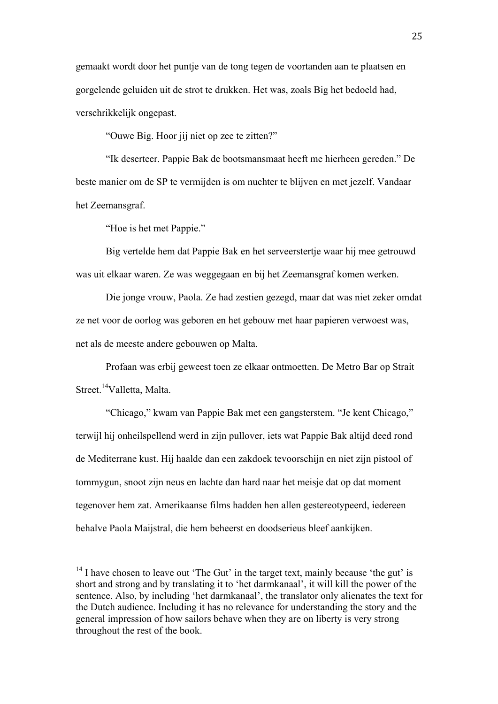gemaakt wordt door het puntje van de tong tegen de voortanden aan te plaatsen en gorgelende geluiden uit de strot te drukken. Het was, zoals Big het bedoeld had, verschrikkelijk ongepast.

"Ouwe Big. Hoor jij niet op zee te zitten?"

"Ik deserteer. Pappie Bak de bootsmansmaat heeft me hierheen gereden." De beste manier om de SP te vermijden is om nuchter te blijven en met jezelf. Vandaar het Zeemansgraf.

"Hoe is het met Pappie."

Big vertelde hem dat Pappie Bak en het serveerstertje waar hij mee getrouwd was uit elkaar waren. Ze was weggegaan en bij het Zeemansgraf komen werken.

Die jonge vrouw, Paola. Ze had zestien gezegd, maar dat was niet zeker omdat ze net voor de oorlog was geboren en het gebouw met haar papieren verwoest was, net als de meeste andere gebouwen op Malta.

Profaan was erbij geweest toen ze elkaar ontmoetten. De Metro Bar op Strait Street.<sup>14</sup>Valletta, Malta.

"Chicago," kwam van Pappie Bak met een gangsterstem. "Je kent Chicago," terwijl hij onheilspellend werd in zijn pullover, iets wat Pappie Bak altijd deed rond de Mediterrane kust. Hij haalde dan een zakdoek tevoorschijn en niet zijn pistool of tommygun, snoot zijn neus en lachte dan hard naar het meisje dat op dat moment tegenover hem zat. Amerikaanse films hadden hen allen gestereotypeerd, iedereen behalve Paola Maijstral, die hem beheerst en doodserieus bleef aankijken.

 $14$  I have chosen to leave out 'The Gut' in the target text, mainly because 'the gut' is short and strong and by translating it to 'het darmkanaal', it will kill the power of the sentence. Also, by including 'het darmkanaal', the translator only alienates the text for the Dutch audience. Including it has no relevance for understanding the story and the general impression of how sailors behave when they are on liberty is very strong throughout the rest of the book.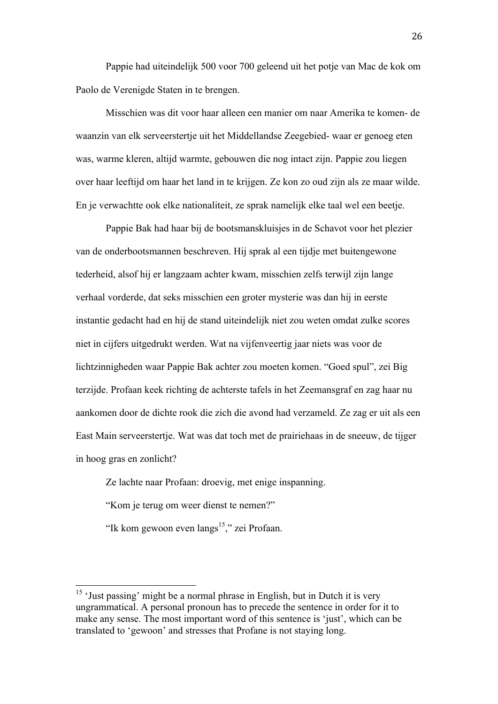Pappie had uiteindelijk 500 voor 700 geleend uit het potje van Mac de kok om Paolo de Verenigde Staten in te brengen.

Misschien was dit voor haar alleen een manier om naar Amerika te komen- de waanzin van elk serveerstertje uit het Middellandse Zeegebied- waar er genoeg eten was, warme kleren, altijd warmte, gebouwen die nog intact zijn. Pappie zou liegen over haar leeftijd om haar het land in te krijgen. Ze kon zo oud zijn als ze maar wilde. En je verwachtte ook elke nationaliteit, ze sprak namelijk elke taal wel een beetje.

Pappie Bak had haar bij de bootsmanskluisjes in de Schavot voor het plezier van de onderbootsmannen beschreven. Hij sprak al een tijdje met buitengewone tederheid, alsof hij er langzaam achter kwam, misschien zelfs terwijl zijn lange verhaal vorderde, dat seks misschien een groter mysterie was dan hij in eerste instantie gedacht had en hij de stand uiteindelijk niet zou weten omdat zulke scores niet in cijfers uitgedrukt werden. Wat na vijfenveertig jaar niets was voor de lichtzinnigheden waar Pappie Bak achter zou moeten komen. "Goed spul", zei Big terzijde. Profaan keek richting de achterste tafels in het Zeemansgraf en zag haar nu aankomen door de dichte rook die zich die avond had verzameld. Ze zag er uit als een East Main serveerstertje. Wat was dat toch met de prairiehaas in de sneeuw, de tijger in hoog gras en zonlicht?

Ze lachte naar Profaan: droevig, met enige inspanning.

"Kom je terug om weer dienst te nemen?"

"Ik kom gewoon even  $\text{langs}^{15}$ ," zei Profaan.

<sup>&</sup>lt;sup>15</sup> 'Just passing' might be a normal phrase in English, but in Dutch it is very ungrammatical. A personal pronoun has to precede the sentence in order for it to make any sense. The most important word of this sentence is 'just', which can be translated to 'gewoon' and stresses that Profane is not staying long.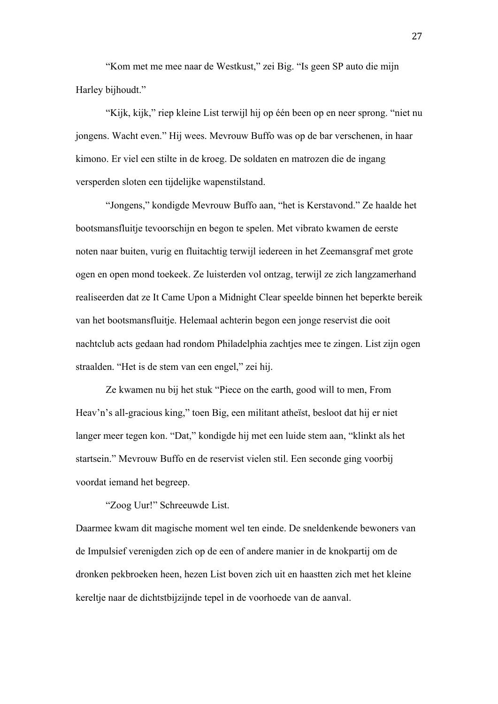"Kom met me mee naar de Westkust," zei Big. "Is geen SP auto die mijn Harley bijhoudt."

"Kijk, kijk," riep kleine List terwijl hij op één been op en neer sprong. "niet nu jongens. Wacht even." Hij wees. Mevrouw Buffo was op de bar verschenen, in haar kimono. Er viel een stilte in de kroeg. De soldaten en matrozen die de ingang versperden sloten een tijdelijke wapenstilstand.

"Jongens," kondigde Mevrouw Buffo aan, "het is Kerstavond." Ze haalde het bootsmansfluitje tevoorschijn en begon te spelen. Met vibrato kwamen de eerste noten naar buiten, vurig en fluitachtig terwijl iedereen in het Zeemansgraf met grote ogen en open mond toekeek. Ze luisterden vol ontzag, terwijl ze zich langzamerhand realiseerden dat ze It Came Upon a Midnight Clear speelde binnen het beperkte bereik van het bootsmansfluitje. Helemaal achterin begon een jonge reservist die ooit nachtclub acts gedaan had rondom Philadelphia zachtjes mee te zingen. List zijn ogen straalden. "Het is de stem van een engel," zei hij.

Ze kwamen nu bij het stuk "Piece on the earth, good will to men, From Heav'n's all-gracious king," toen Big, een militant atheïst, besloot dat hij er niet langer meer tegen kon. "Dat," kondigde hij met een luide stem aan, "klinkt als het startsein." Mevrouw Buffo en de reservist vielen stil. Een seconde ging voorbij voordat iemand het begreep.

"Zoog Uur!" Schreeuwde List.

Daarmee kwam dit magische moment wel ten einde. De sneldenkende bewoners van de Impulsief verenigden zich op de een of andere manier in de knokpartij om de dronken pekbroeken heen, hezen List boven zich uit en haastten zich met het kleine kereltje naar de dichtstbijzijnde tepel in de voorhoede van de aanval.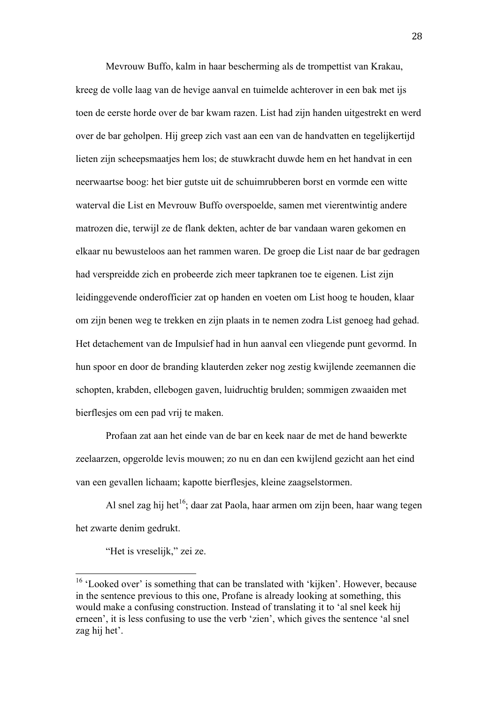Mevrouw Buffo, kalm in haar bescherming als de trompettist van Krakau, kreeg de volle laag van de hevige aanval en tuimelde achterover in een bak met ijs toen de eerste horde over de bar kwam razen. List had zijn handen uitgestrekt en werd over de bar geholpen. Hij greep zich vast aan een van de handvatten en tegelijkertijd lieten zijn scheepsmaatjes hem los; de stuwkracht duwde hem en het handvat in een neerwaartse boog: het bier gutste uit de schuimrubberen borst en vormde een witte waterval die List en Mevrouw Buffo overspoelde, samen met vierentwintig andere matrozen die, terwijl ze de flank dekten, achter de bar vandaan waren gekomen en elkaar nu bewusteloos aan het rammen waren. De groep die List naar de bar gedragen had verspreidde zich en probeerde zich meer tapkranen toe te eigenen. List zijn leidinggevende onderofficier zat op handen en voeten om List hoog te houden, klaar om zijn benen weg te trekken en zijn plaats in te nemen zodra List genoeg had gehad. Het detachement van de Impulsief had in hun aanval een vliegende punt gevormd. In hun spoor en door de branding klauterden zeker nog zestig kwijlende zeemannen die schopten, krabden, ellebogen gaven, luidruchtig brulden; sommigen zwaaiden met bierflesjes om een pad vrij te maken.

Profaan zat aan het einde van de bar en keek naar de met de hand bewerkte zeelaarzen, opgerolde levis mouwen; zo nu en dan een kwijlend gezicht aan het eind van een gevallen lichaam; kapotte bierflesjes, kleine zaagselstormen.

Al snel zag hij het<sup>16</sup>; daar zat Paola, haar armen om zijn been, haar wang tegen het zwarte denim gedrukt.

"Het is vreselijk," zei ze.

 <sup>16</sup> 'Looked over' is something that can be translated with 'kijken'. However, because in the sentence previous to this one, Profane is already looking at something, this would make a confusing construction. Instead of translating it to 'al snel keek hij erneen', it is less confusing to use the verb 'zien', which gives the sentence 'al snel zag hij het'.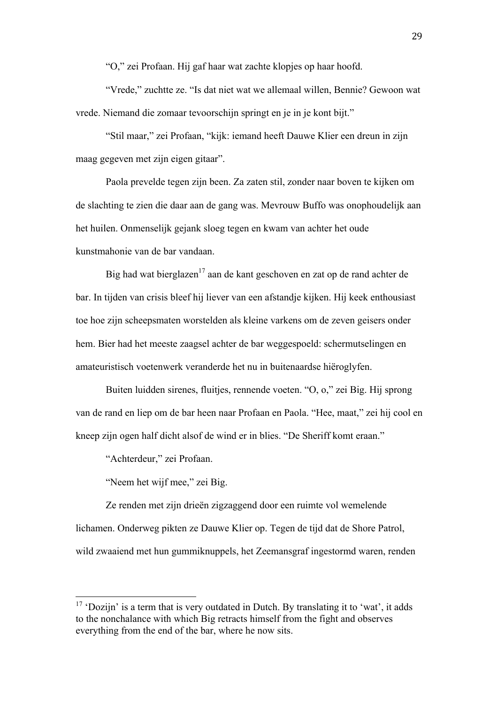"O," zei Profaan. Hij gaf haar wat zachte klopjes op haar hoofd.

"Vrede," zuchtte ze. "Is dat niet wat we allemaal willen, Bennie? Gewoon wat vrede. Niemand die zomaar tevoorschijn springt en je in je kont bijt."

"Stil maar," zei Profaan, "kijk: iemand heeft Dauwe Klier een dreun in zijn maag gegeven met zijn eigen gitaar".

Paola prevelde tegen zijn been. Za zaten stil, zonder naar boven te kijken om de slachting te zien die daar aan de gang was. Mevrouw Buffo was onophoudelijk aan het huilen. Onmenselijk gejank sloeg tegen en kwam van achter het oude kunstmahonie van de bar vandaan.

Big had wat bierglazen<sup>17</sup> aan de kant geschoven en zat op de rand achter de bar. In tijden van crisis bleef hij liever van een afstandje kijken. Hij keek enthousiast toe hoe zijn scheepsmaten worstelden als kleine varkens om de zeven geisers onder hem. Bier had het meeste zaagsel achter de bar weggespoeld: schermutselingen en amateuristisch voetenwerk veranderde het nu in buitenaardse hiëroglyfen.

Buiten luidden sirenes, fluitjes, rennende voeten. "O, o," zei Big. Hij sprong van de rand en liep om de bar heen naar Profaan en Paola. "Hee, maat," zei hij cool en kneep zijn ogen half dicht alsof de wind er in blies. "De Sheriff komt eraan."

"Achterdeur," zei Profaan.

"Neem het wijf mee," zei Big.

Ze renden met zijn drieën zigzaggend door een ruimte vol wemelende lichamen. Onderweg pikten ze Dauwe Klier op. Tegen de tijd dat de Shore Patrol, wild zwaaiend met hun gummiknuppels, het Zeemansgraf ingestormd waren, renden

<sup>&</sup>lt;sup>17</sup> 'Dozijn' is a term that is very outdated in Dutch. By translating it to 'wat', it adds to the nonchalance with which Big retracts himself from the fight and observes everything from the end of the bar, where he now sits.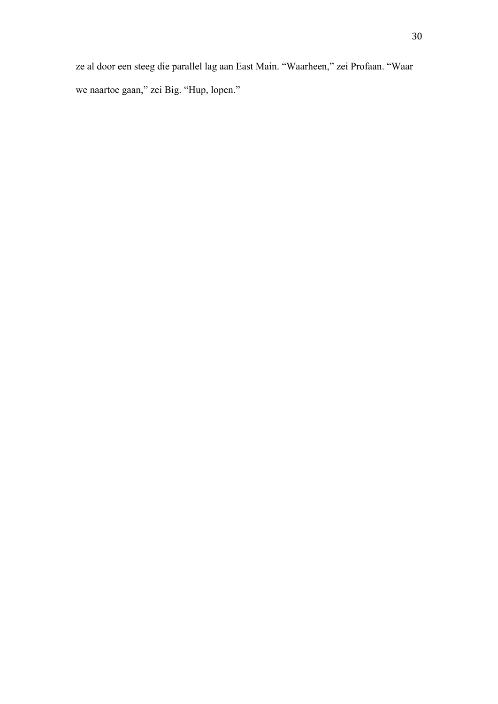ze al door een steeg die parallel lag aan East Main. "Waarheen," zei Profaan. "Waar we naartoe gaan," zei Big. "Hup, lopen."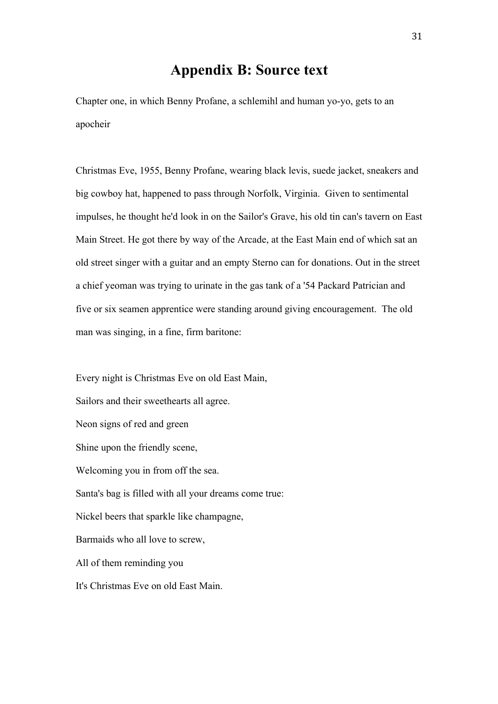## **Appendix B: Source text**

Chapter one, in which Benny Profane, a schlemihl and human yo-yo, gets to an apocheir

Christmas Eve, 1955, Benny Profane, wearing black levis, suede jacket, sneakers and big cowboy hat, happened to pass through Norfolk, Virginia. Given to sentimental impulses, he thought he'd look in on the Sailor's Grave, his old tin can's tavern on East Main Street. He got there by way of the Arcade, at the East Main end of which sat an old street singer with a guitar and an empty Sterno can for donations. Out in the street a chief yeoman was trying to urinate in the gas tank of a '54 Packard Patrician and five or six seamen apprentice were standing around giving encouragement. The old man was singing, in a fine, firm baritone:

Every night is Christmas Eve on old East Main, Sailors and their sweethearts all agree. Neon signs of red and green Shine upon the friendly scene, Welcoming you in from off the sea. Santa's bag is filled with all your dreams come true: Nickel beers that sparkle like champagne, Barmaids who all love to screw, All of them reminding you It's Christmas Eve on old East Main.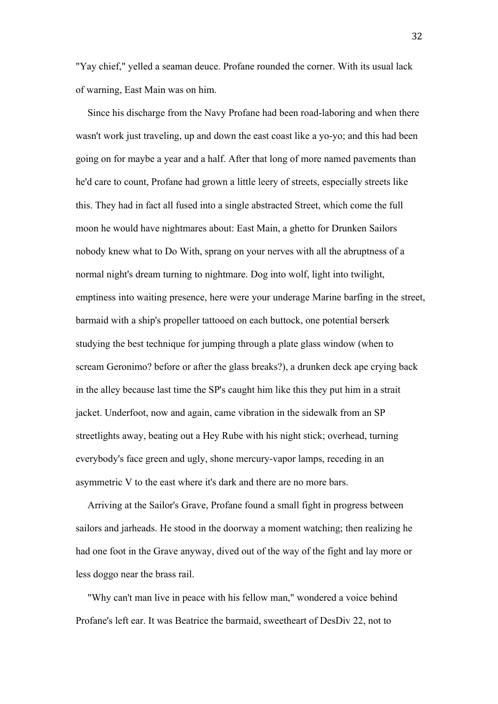"Yay chief," yelled a seaman deuce. Profane rounded the corner. With its usual lack of warning, East Main was on him.

Since his discharge from the Navy Profane had been road-laboring and when there wasn't work just traveling, up and down the east coast like a yo-yo; and this had been going on for maybe a year and a half. After that long of more named pavements than he'd care to count, Profane had grown a little leery of streets, especially streets like this. They had in fact all fused into a single abstracted Street, which come the full moon he would have nightmares about: East Main, a ghetto for Drunken Sailors nobody knew what to Do With, sprang on your nerves with all the abruptness of a normal night's dream turning to nightmare. Dog into wolf, light into twilight, emptiness into waiting presence, here were your underage Marine barfing in the street, barmaid with a ship's propeller tattooed on each buttock, one potential berserk studying the best technique for jumping through a plate glass window (when to scream Geronimo? before or after the glass breaks?), a drunken deck ape crying back in the alley because last time the SP's caught him like this they put him in a strait jacket. Underfoot, now and again, came vibration in the sidewalk from an SP streetlights away, beating out a Hey Rube with his night stick; overhead, turning everybody's face green and ugly, shone mercury-vapor lamps, receding in an asymmetric V to the east where it's dark and there are no more bars.

Arriving at the Sailor's Grave, Profane found a small fight in progress between sailors and jarheads. He stood in the doorway a moment watching; then realizing he had one foot in the Grave anyway, dived out of the way of the fight and lay more or less doggo near the brass rail.

"Why can't man live in peace with his fellow man," wondered a voice behind Profane's left ear. It was Beatrice the barmaid, sweetheart of DesDiv 22, not to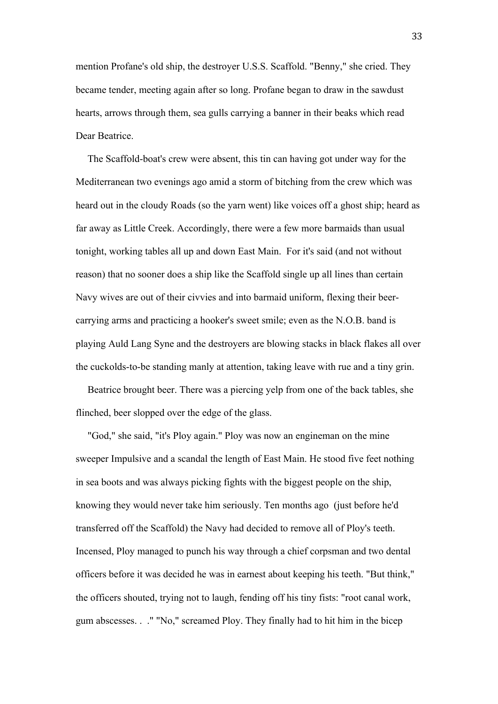mention Profane's old ship, the destroyer U.S.S. Scaffold. "Benny," she cried. They became tender, meeting again after so long. Profane began to draw in the sawdust hearts, arrows through them, sea gulls carrying a banner in their beaks which read Dear Beatrice.

The Scaffold-boat's crew were absent, this tin can having got under way for the Mediterranean two evenings ago amid a storm of bitching from the crew which was heard out in the cloudy Roads (so the yarn went) like voices off a ghost ship; heard as far away as Little Creek. Accordingly, there were a few more barmaids than usual tonight, working tables all up and down East Main. For it's said (and not without reason) that no sooner does a ship like the Scaffold single up all lines than certain Navy wives are out of their civvies and into barmaid uniform, flexing their beercarrying arms and practicing a hooker's sweet smile; even as the N.O.B. band is playing Auld Lang Syne and the destroyers are blowing stacks in black flakes all over the cuckolds-to-be standing manly at attention, taking leave with rue and a tiny grin.

Beatrice brought beer. There was a piercing yelp from one of the back tables, she flinched, beer slopped over the edge of the glass.

"God," she said, "it's Ploy again." Ploy was now an engineman on the mine sweeper Impulsive and a scandal the length of East Main. He stood five feet nothing in sea boots and was always picking fights with the biggest people on the ship, knowing they would never take him seriously. Ten months ago (just before he'd transferred off the Scaffold) the Navy had decided to remove all of Ploy's teeth. Incensed, Ploy managed to punch his way through a chief corpsman and two dental officers before it was decided he was in earnest about keeping his teeth. "But think," the officers shouted, trying not to laugh, fending off his tiny fists: "root canal work, gum abscesses. . ." "No," screamed Ploy. They finally had to hit him in the bicep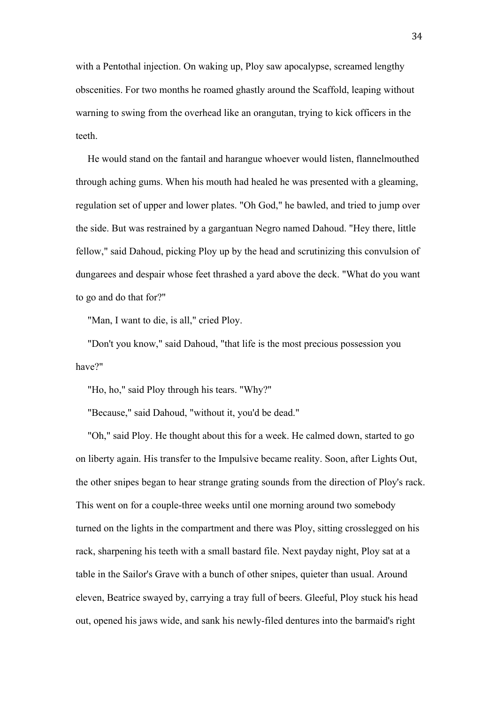with a Pentothal injection. On waking up, Ploy saw apocalypse, screamed lengthy obscenities. For two months he roamed ghastly around the Scaffold, leaping without warning to swing from the overhead like an orangutan, trying to kick officers in the teeth.

He would stand on the fantail and harangue whoever would listen, flannelmouthed through aching gums. When his mouth had healed he was presented with a gleaming, regulation set of upper and lower plates. "Oh God," he bawled, and tried to jump over the side. But was restrained by a gargantuan Negro named Dahoud. "Hey there, little fellow," said Dahoud, picking Ploy up by the head and scrutinizing this convulsion of dungarees and despair whose feet thrashed a yard above the deck. "What do you want to go and do that for?"

"Man, I want to die, is all," cried Ploy.

"Don't you know," said Dahoud, "that life is the most precious possession you have?"

"Ho, ho," said Ploy through his tears. "Why?"

"Because," said Dahoud, "without it, you'd be dead."

"Oh," said Ploy. He thought about this for a week. He calmed down, started to go on liberty again. His transfer to the Impulsive became reality. Soon, after Lights Out, the other snipes began to hear strange grating sounds from the direction of Ploy's rack. This went on for a couple-three weeks until one morning around two somebody turned on the lights in the compartment and there was Ploy, sitting crosslegged on his rack, sharpening his teeth with a small bastard file. Next payday night, Ploy sat at a table in the Sailor's Grave with a bunch of other snipes, quieter than usual. Around eleven, Beatrice swayed by, carrying a tray full of beers. Gleeful, Ploy stuck his head out, opened his jaws wide, and sank his newly-filed dentures into the barmaid's right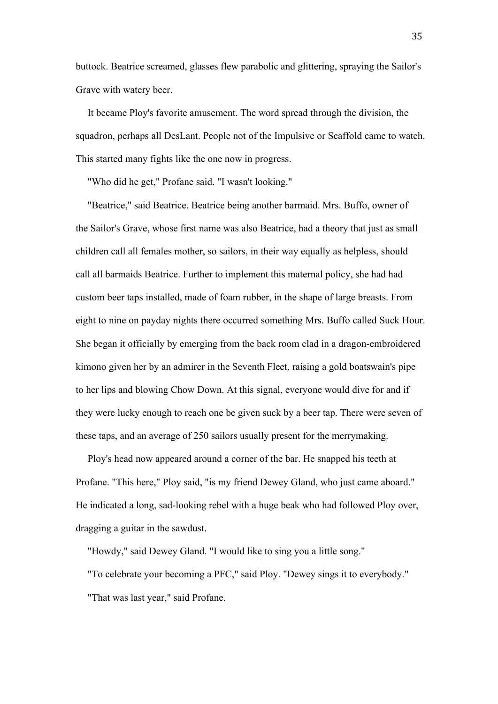buttock. Beatrice screamed, glasses flew parabolic and glittering, spraying the Sailor's Grave with watery beer.

It became Ploy's favorite amusement. The word spread through the division, the squadron, perhaps all DesLant. People not of the Impulsive or Scaffold came to watch. This started many fights like the one now in progress.

"Who did he get," Profane said. "I wasn't looking."

"Beatrice," said Beatrice. Beatrice being another barmaid. Mrs. Buffo, owner of the Sailor's Grave, whose first name was also Beatrice, had a theory that just as small children call all females mother, so sailors, in their way equally as helpless, should call all barmaids Beatrice. Further to implement this maternal policy, she had had custom beer taps installed, made of foam rubber, in the shape of large breasts. From eight to nine on payday nights there occurred something Mrs. Buffo called Suck Hour. She began it officially by emerging from the back room clad in a dragon-embroidered kimono given her by an admirer in the Seventh Fleet, raising a gold boatswain's pipe to her lips and blowing Chow Down. At this signal, everyone would dive for and if they were lucky enough to reach one be given suck by a beer tap. There were seven of these taps, and an average of 250 sailors usually present for the merrymaking.

Ploy's head now appeared around a corner of the bar. He snapped his teeth at Profane. "This here," Ploy said, "is my friend Dewey Gland, who just came aboard." He indicated a long, sad-looking rebel with a huge beak who had followed Ploy over, dragging a guitar in the sawdust.

"Howdy," said Dewey Gland. "I would like to sing you a little song."

"To celebrate your becoming a PFC," said Ploy. "Dewey sings it to everybody." "That was last year," said Profane.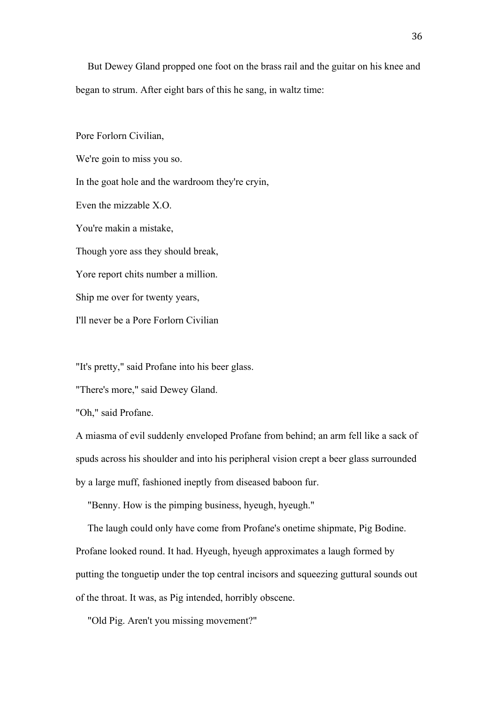But Dewey Gland propped one foot on the brass rail and the guitar on his knee and began to strum. After eight bars of this he sang, in waltz time:

Pore Forlorn Civilian,

We're goin to miss you so.

In the goat hole and the wardroom they're cryin,

Even the mizzable X.O.

You're makin a mistake,

Though yore ass they should break,

Yore report chits number a million.

Ship me over for twenty years,

I'll never be a Pore Forlorn Civilian

"It's pretty," said Profane into his beer glass.

"There's more," said Dewey Gland.

"Oh," said Profane.

A miasma of evil suddenly enveloped Profane from behind; an arm fell like a sack of spuds across his shoulder and into his peripheral vision crept a beer glass surrounded by a large muff, fashioned ineptly from diseased baboon fur.

"Benny. How is the pimping business, hyeugh, hyeugh."

The laugh could only have come from Profane's onetime shipmate, Pig Bodine. Profane looked round. It had. Hyeugh, hyeugh approximates a laugh formed by putting the tonguetip under the top central incisors and squeezing guttural sounds out of the throat. It was, as Pig intended, horribly obscene.

"Old Pig. Aren't you missing movement?"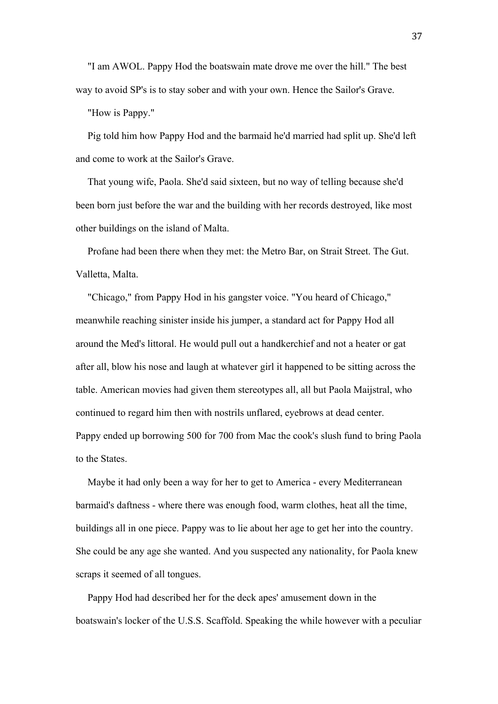"I am AWOL. Pappy Hod the boatswain mate drove me over the hill." The best way to avoid SP's is to stay sober and with your own. Hence the Sailor's Grave.

"How is Pappy."

Pig told him how Pappy Hod and the barmaid he'd married had split up. She'd left and come to work at the Sailor's Grave.

That young wife, Paola. She'd said sixteen, but no way of telling because she'd been born just before the war and the building with her records destroyed, like most other buildings on the island of Malta.

Profane had been there when they met: the Metro Bar, on Strait Street. The Gut. Valletta, Malta.

"Chicago," from Pappy Hod in his gangster voice. "You heard of Chicago," meanwhile reaching sinister inside his jumper, a standard act for Pappy Hod all around the Med's littoral. He would pull out a handkerchief and not a heater or gat after all, blow his nose and laugh at whatever girl it happened to be sitting across the table. American movies had given them stereotypes all, all but Paola Maijstral, who continued to regard him then with nostrils unflared, eyebrows at dead center. Pappy ended up borrowing 500 for 700 from Mac the cook's slush fund to bring Paola to the States.

Maybe it had only been a way for her to get to America - every Mediterranean barmaid's daftness - where there was enough food, warm clothes, heat all the time, buildings all in one piece. Pappy was to lie about her age to get her into the country. She could be any age she wanted. And you suspected any nationality, for Paola knew scraps it seemed of all tongues.

Pappy Hod had described her for the deck apes' amusement down in the boatswain's locker of the U.S.S. Scaffold. Speaking the while however with a peculiar

37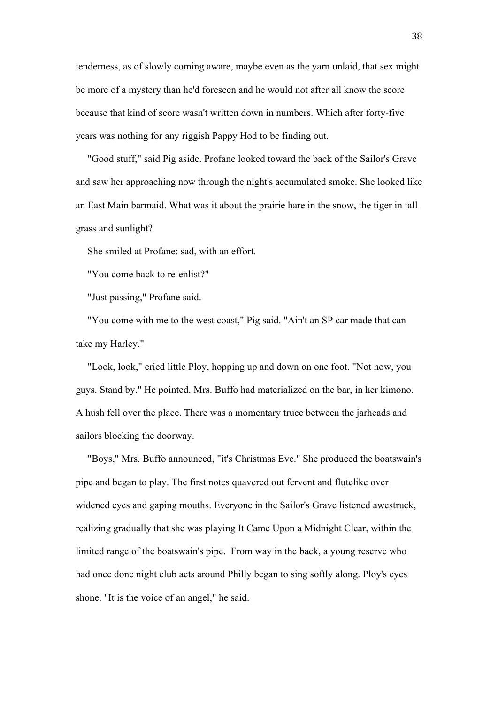tenderness, as of slowly coming aware, maybe even as the yarn unlaid, that sex might be more of a mystery than he'd foreseen and he would not after all know the score because that kind of score wasn't written down in numbers. Which after forty-five years was nothing for any riggish Pappy Hod to be finding out.

"Good stuff," said Pig aside. Profane looked toward the back of the Sailor's Grave and saw her approaching now through the night's accumulated smoke. She looked like an East Main barmaid. What was it about the prairie hare in the snow, the tiger in tall grass and sunlight?

She smiled at Profane: sad, with an effort.

"You come back to re-enlist?"

"Just passing," Profane said.

"You come with me to the west coast," Pig said. "Ain't an SP car made that can take my Harley."

"Look, look," cried little Ploy, hopping up and down on one foot. "Not now, you guys. Stand by." He pointed. Mrs. Buffo had materialized on the bar, in her kimono. A hush fell over the place. There was a momentary truce between the jarheads and sailors blocking the doorway.

"Boys," Mrs. Buffo announced, "it's Christmas Eve." She produced the boatswain's pipe and began to play. The first notes quavered out fervent and flutelike over widened eyes and gaping mouths. Everyone in the Sailor's Grave listened awestruck, realizing gradually that she was playing It Came Upon a Midnight Clear, within the limited range of the boatswain's pipe. From way in the back, a young reserve who had once done night club acts around Philly began to sing softly along. Ploy's eyes shone. "It is the voice of an angel," he said.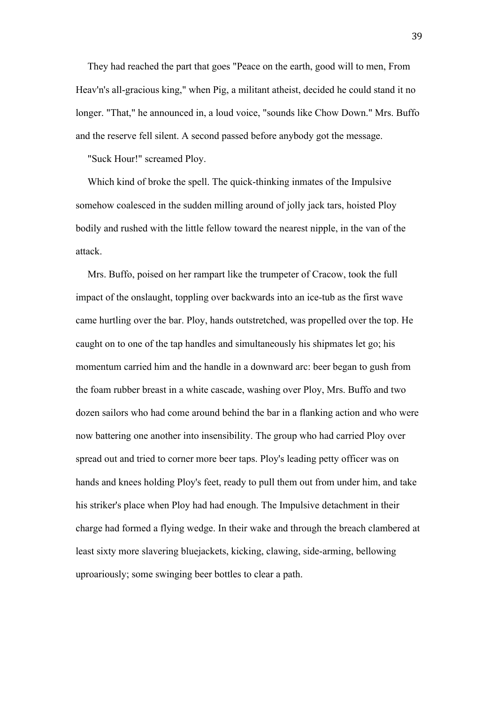They had reached the part that goes "Peace on the earth, good will to men, From Heav'n's all-gracious king," when Pig, a militant atheist, decided he could stand it no longer. "That," he announced in, a loud voice, "sounds like Chow Down." Mrs. Buffo and the reserve fell silent. A second passed before anybody got the message.

"Suck Hour!" screamed Ploy.

Which kind of broke the spell. The quick-thinking inmates of the Impulsive somehow coalesced in the sudden milling around of jolly jack tars, hoisted Ploy bodily and rushed with the little fellow toward the nearest nipple, in the van of the attack.

Mrs. Buffo, poised on her rampart like the trumpeter of Cracow, took the full impact of the onslaught, toppling over backwards into an ice-tub as the first wave came hurtling over the bar. Ploy, hands outstretched, was propelled over the top. He caught on to one of the tap handles and simultaneously his shipmates let go; his momentum carried him and the handle in a downward arc: beer began to gush from the foam rubber breast in a white cascade, washing over Ploy, Mrs. Buffo and two dozen sailors who had come around behind the bar in a flanking action and who were now battering one another into insensibility. The group who had carried Ploy over spread out and tried to corner more beer taps. Ploy's leading petty officer was on hands and knees holding Ploy's feet, ready to pull them out from under him, and take his striker's place when Ploy had had enough. The Impulsive detachment in their charge had formed a flying wedge. In their wake and through the breach clambered at least sixty more slavering bluejackets, kicking, clawing, side-arming, bellowing uproariously; some swinging beer bottles to clear a path.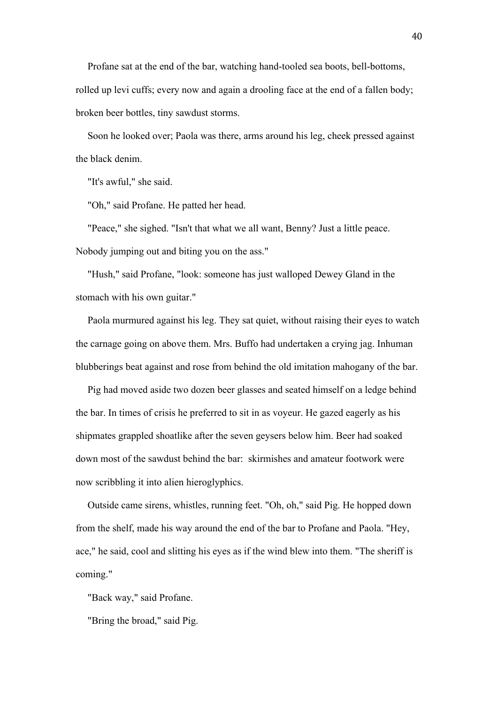Profane sat at the end of the bar, watching hand-tooled sea boots, bell-bottoms, rolled up levi cuffs; every now and again a drooling face at the end of a fallen body; broken beer bottles, tiny sawdust storms.

Soon he looked over; Paola was there, arms around his leg, cheek pressed against the black denim.

"It's awful," she said.

"Oh," said Profane. He patted her head.

"Peace," she sighed. "Isn't that what we all want, Benny? Just a little peace. Nobody jumping out and biting you on the ass."

"Hush," said Profane, "look: someone has just walloped Dewey Gland in the stomach with his own guitar."

Paola murmured against his leg. They sat quiet, without raising their eyes to watch the carnage going on above them. Mrs. Buffo had undertaken a crying jag. Inhuman blubberings beat against and rose from behind the old imitation mahogany of the bar.

Pig had moved aside two dozen beer glasses and seated himself on a ledge behind the bar. In times of crisis he preferred to sit in as voyeur. He gazed eagerly as his shipmates grappled shoatlike after the seven geysers below him. Beer had soaked down most of the sawdust behind the bar: skirmishes and amateur footwork were now scribbling it into alien hieroglyphics.

Outside came sirens, whistles, running feet. "Oh, oh," said Pig. He hopped down from the shelf, made his way around the end of the bar to Profane and Paola. "Hey, ace," he said, cool and slitting his eyes as if the wind blew into them. "The sheriff is coming."

"Back way," said Profane.

"Bring the broad," said Pig.